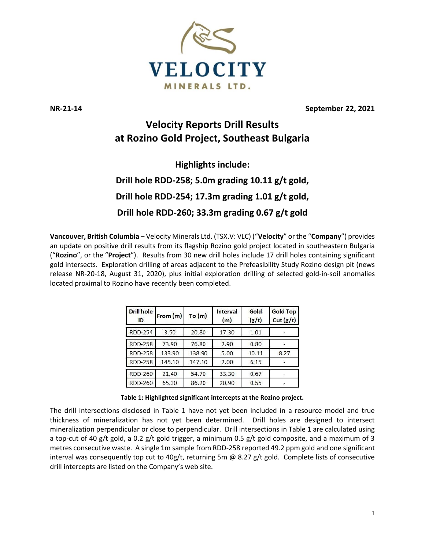

**NR-21-14 September 22, 2021**

## **Velocity Reports Drill Results at Rozino Gold Project, Southeast Bulgaria**

**Highlights include: Drill hole RDD-258; 5.0m grading 10.11 g/t gold, Drill hole RDD-254; 17.3m grading 1.01 g/t gold, Drill hole RDD-260; 33.3m grading 0.67 g/t gold**

**Vancouver, British Columbia** – Velocity Minerals Ltd. (TSX.V: VLC) ("**Velocity**" or the "**Company**") provides an update on positive drill results from its flagship Rozino gold project located in southeastern Bulgaria ("**Rozino**", or the "**Project**"). Results from 30 new drill holes include 17 drill holes containing significant gold intersects. Exploration drilling of areas adjacent to the Prefeasibility Study Rozino design pit (news release NR-20-18, August 31, 2020), plus initial exploration drilling of selected gold-in-soil anomalies located proximal to Rozino have recently been completed.

| Drill hole<br>ID | From (m) | To $(m)$ | Interval<br>(m) | Gold<br>(g/t) | <b>Gold Top</b><br>Cut(g/t) |
|------------------|----------|----------|-----------------|---------------|-----------------------------|
| <b>RDD-254</b>   | 3.50     | 20.80    | 17.30           | 1.01          |                             |
| <b>RDD-258</b>   | 73.90    | 76.80    | 2.90            | 0.80          | 當                           |
| <b>RDD-258</b>   | 133.90   | 138.90   | 5.00            | 10.11         | 8.27                        |
| <b>RDD-258</b>   | 145.10   | 147.10   | 2.00            | 6.15          |                             |
| <b>RDD-260</b>   | 21.40    | 54.70    | 33.30           | 0.67          |                             |
| <b>RDD-260</b>   | 65.30    | 86.20    | 20.90           | 0.55          | 定                           |

**Table 1: Highlighted significant intercepts at the Rozino project.** 

The drill intersections disclosed in Table 1 have not yet been included in a resource model and true thickness of mineralization has not yet been determined. Drill holes are designed to intersect mineralization perpendicular or close to perpendicular. Drill intersections in Table 1 are calculated using a top-cut of 40 g/t gold, a 0.2 g/t gold trigger, a minimum 0.5 g/t gold composite, and a maximum of 3 metres consecutive waste. A single 1m sample from RDD-258 reported 49.2 ppm gold and one significant interval was consequently top cut to 40g/t, returning 5m @ 8.27 g/t gold. Complete lists of consecutive drill intercepts are listed on the Company's web site.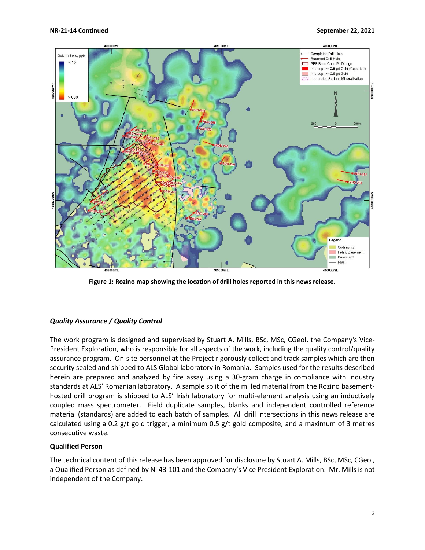

**Figure 1: Rozino map showing the location of drill holes reported in this news release.** 

## *Quality Assurance / Quality Control*

The work program is designed and supervised by Stuart A. Mills, BSc, MSc, CGeol, the Company's Vice-President Exploration, who is responsible for all aspects of the work, including the quality control/quality assurance program. On-site personnel at the Project rigorously collect and track samples which are then security sealed and shipped to ALS Global laboratory in Romania. Samples used for the results described herein are prepared and analyzed by fire assay using a 30-gram charge in compliance with industry standards at ALS' Romanian laboratory. A sample split of the milled material from the Rozino basementhosted drill program is shipped to ALS' Irish laboratory for multi-element analysis using an inductively coupled mass spectrometer. Field duplicate samples, blanks and independent controlled reference material (standards) are added to each batch of samples. All drill intersections in this news release are calculated using a 0.2 g/t gold trigger, a minimum 0.5 g/t gold composite, and a maximum of 3 metres consecutive waste.

## **Qualified Person**

The technical content of this release has been approved for disclosure by Stuart A. Mills, BSc, MSc, CGeol, a Qualified Person as defined by NI 43-101 and the Company's Vice President Exploration. Mr. Mills is not independent of the Company.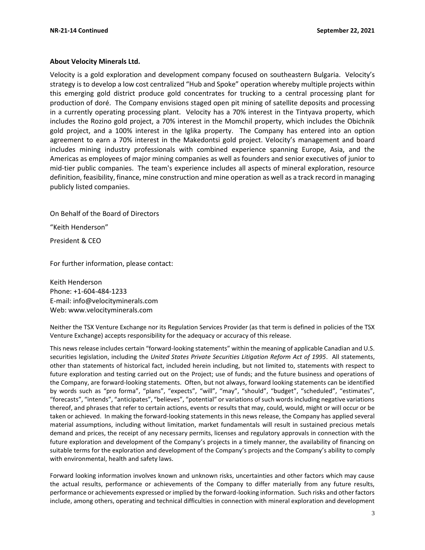## **About Velocity Minerals Ltd.**

Velocity is a gold exploration and development company focused on southeastern Bulgaria. Velocity's strategy is to develop a low cost centralized "Hub and Spoke" operation whereby multiple projects within this emerging gold district produce gold concentrates for trucking to a central processing plant for production of doré. The Company envisions staged open pit mining of satellite deposits and processing in a currently operating processing plant. Velocity has a 70% interest in the Tintyava property, which includes the Rozino gold project, a 70% interest in the Momchil property, which includes the Obichnik gold project, and a 100% interest in the Iglika property. The Company has entered into an option agreement to earn a 70% interest in the Makedontsi gold project. Velocity's management and board includes mining industry professionals with combined experience spanning Europe, Asia, and the Americas as employees of major mining companies as well as founders and senior executives of junior to mid-tier public companies. The team's experience includes all aspects of mineral exploration, resource definition, feasibility, finance, mine construction and mine operation as well as a track record in managing publicly listed companies.

On Behalf of the Board of Directors

"Keith Henderson"

President & CEO

For further information, please contact:

Keith Henderson Phone: +1-604-484-1233 E-mail: [info@velocityminerals.com](mailto:info@velocityminerals.com) Web: [www.velocityminerals.com](http://www.velocityminerals.com/)

Neither the TSX Venture Exchange nor its Regulation Services Provider (as that term is defined in policies of the TSX Venture Exchange) accepts responsibility for the adequacy or accuracy of this release.

This news release includes certain "forward-looking statements" within the meaning of applicable Canadian and U.S. securities legislation, including the *United States Private Securities Litigation Reform Act of 1995*. All statements, other than statements of historical fact, included herein including, but not limited to, statements with respect to future exploration and testing carried out on the Project; use of funds; and the future business and operations of the Company, are forward-looking statements. Often, but not always, forward looking statements can be identified by words such as "pro forma", "plans", "expects", "will", "may", "should", "budget", "scheduled", "estimates", "forecasts", "intends", "anticipates", "believes", "potential" or variations of such words including negative variations thereof, and phrases that refer to certain actions, events or results that may, could, would, might or will occur or be taken or achieved. In making the forward-looking statements in this news release, the Company has applied several material assumptions, including without limitation, market fundamentals will result in sustained precious metals demand and prices, the receipt of any necessary permits, licenses and regulatory approvals in connection with the future exploration and development of the Company's projects in a timely manner, the availability of financing on suitable terms for the exploration and development of the Company's projects and the Company's ability to comply with environmental, health and safety laws.

Forward looking information involves known and unknown risks, uncertainties and other factors which may cause the actual results, performance or achievements of the Company to differ materially from any future results, performance or achievements expressed or implied by the forward-looking information. Such risks and other factors include, among others, operating and technical difficulties in connection with mineral exploration and development